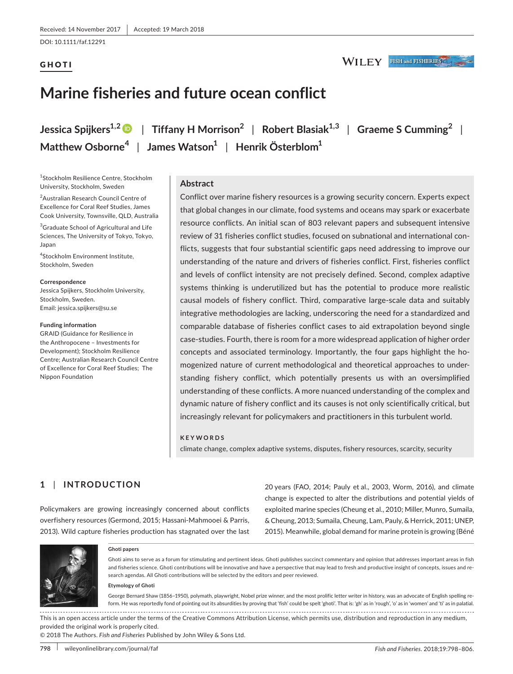DOI: 10.1111/faf.12291

## GHOTI

#### WILEY. FISH and FISHERIES

# **Marine fisheries and future ocean conflict**

1 Stockholm Resilience Centre, Stockholm University, Stockholm, Sweden

2 Australian Research Council Centre of Excellence for Coral Reef Studies, James Cook University, Townsville, QLD, Australia

<sup>3</sup>Graduate School of Agricultural and Life Sciences, The University of Tokyo, Tokyo, Japan

4 Stockholm Environment Institute, Stockholm, Sweden

**Correspondence** Jessica Spijkers, Stockholm University, Stockholm, Sweden. Email: [jessica.spijkers@su.se](mailto:jessica.spijkers@su.se)

#### **Funding information**

GRAID (Guidance for Resilience in the Anthropocene – Investments for Development); Stockholm Resilience Centre; Australian Research Council Centre of Excellence for Coral Reef Studies; The Nippon Foundation

**Jessica Spijkers1,2** | **Tiffany H Morrison<sup>2</sup>** | **Robert Blasiak1,3** | **Graeme S Cumming<sup>2</sup>** | **Matthew Osborne<sup>4</sup>** | **James Watson<sup>1</sup>** | **Henrik Österblom<sup>1</sup>**

**Abstract**

Conflict over marine fishery resources is a growing security concern. Experts expect that global changes in our climate, food systems and oceans may spark or exacerbate resource conflicts. An initial scan of 803 relevant papers and subsequent intensive review of 31 fisheries conflict studies, focused on subnational and international conflicts, suggests that four substantial scientific gaps need addressing to improve our understanding of the nature and drivers of fisheries conflict. First, fisheries conflict and levels of conflict intensity are not precisely defined. Second, complex adaptive systems thinking is underutilized but has the potential to produce more realistic causal models of fishery conflict. Third, comparative large-scale data and suitably integrative methodologies are lacking, underscoring the need for a standardized and comparable database of fisheries conflict cases to aid extrapolation beyond single case-studies. Fourth, there is room for a more widespread application of higher order concepts and associated terminology. Importantly, the four gaps highlight the homogenized nature of current methodological and theoretical approaches to understanding fishery conflict, which potentially presents us with an oversimplified understanding of these conflicts. A more nuanced understanding of the complex and dynamic nature of fishery conflict and its causes is not only scientifically critical, but increasingly relevant for policymakers and practitioners in this turbulent world.

#### **KEYWORDS**

climate change, complex adaptive systems, disputes, fishery resources, scarcity, security

## **1** | **INTRODUCTION**

Policymakers are growing increasingly concerned about conflicts overfishery resources (Germond, 2015; Hassani-Mahmooei & Parris, 2013). Wild capture fisheries production has stagnated over the last 20 years (FAO, 2014; Pauly et al., 2003, Worm, 2016), and climate change is expected to alter the distributions and potential yields of exploited marine species (Cheung et al., 2010; Miller, Munro, Sumaila, & Cheung, 2013; Sumaila, Cheung, Lam, Pauly, & Herrick, 2011; UNEP, 2015). Meanwhile, global demand for marine protein is growing (Béné



#### **Ghoti papers**

Ghoti aims to serve as a forum for stimulating and pertinent ideas. Ghoti publishes succinct commentary and opinion that addresses important areas in fish and fisheries science. Ghoti contributions will be innovative and have a perspective that may lead to fresh and productive insight of concepts, issues and research agendas. All Ghoti contributions will be selected by the editors and peer reviewed.

#### **Etymology of Ghoti**

George Bernard Shaw (1856–1950), polymath, playwright, Nobel prize winner, and the most prolific letter writer in history, was an advocate of English spelling reform. He was reportedly fond of pointing out its absurdities by proving that 'fish' could be spelt 'ghoti'. That is: 'gh' as in 'rough', 'o' as in 'women' and 'ti' as in palatial.

. . . . . . . . . . . . . . . . . . This is an open access article under the terms of the [Creative Commons Attribution](http://creativecommons.org/licenses/by/4.0/) License, which permits use, distribution and reproduction in any medium, provided the original work is properly cited.

© 2018 The Authors. *Fish and Fisheries* Published by John Wiley & Sons Ltd.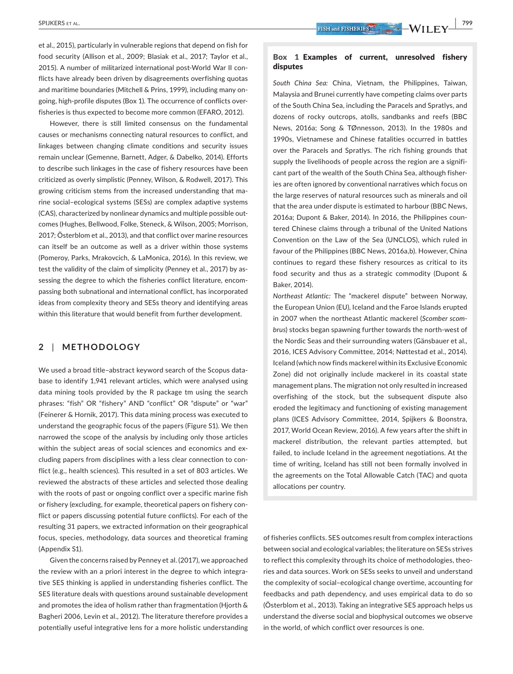et al., 2015), particularly in vulnerable regions that depend on fish for food security (Allison et al., 2009; Blasiak et al., 2017; Taylor et al., 2015). A number of militarized international post-World War II conflicts have already been driven by disagreements overfishing quotas and maritime boundaries (Mitchell & Prins, 1999), including many ongoing, high-profile disputes (Box 1). The occurrence of conflicts overfisheries is thus expected to become more common (EFARO, 2012).

However, there is still limited consensus on the fundamental causes or mechanisms connecting natural resources to conflict, and linkages between changing climate conditions and security issues remain unclear (Gemenne, Barnett, Adger, & Dabelko, 2014). Efforts to describe such linkages in the case of fishery resources have been criticized as overly simplistic (Penney, Wilson, & Rodwell, 2017). This growing criticism stems from the increased understanding that marine social–ecological systems (SESs) are complex adaptive systems (CAS), characterized by nonlinear dynamics and multiple possible outcomes (Hughes, Bellwood, Folke, Steneck, & Wilson, 2005; Morrison, 2017; Österblom et al., 2013), and that conflict over marine resources can itself be an outcome as well as a driver within those systems (Pomeroy, Parks, Mrakovcich, & LaMonica, 2016). In this review, we test the validity of the claim of simplicity (Penney et al., 2017) by assessing the degree to which the fisheries conflict literature, encompassing both subnational and international conflict, has incorporated ideas from complexity theory and SESs theory and identifying areas within this literature that would benefit from further development.

## **2** | **METHODOLOGY**

We used a broad title–abstract keyword search of the Scopus database to identify 1,941 relevant articles, which were analysed using data mining tools provided by the R package tm using the search phrases: "fish" OR "fishery" AND "conflict" OR "dispute" or "war" (Feinerer & Hornik, 2017). This data mining process was executed to understand the geographic focus of the papers (Figure S1). We then narrowed the scope of the analysis by including only those articles within the subject areas of social sciences and economics and excluding papers from disciplines with a less clear connection to conflict (e.g., health sciences). This resulted in a set of 803 articles. We reviewed the abstracts of these articles and selected those dealing with the roots of past or ongoing conflict over a specific marine fish or fishery (excluding, for example, theoretical papers on fishery conflict or papers discussing potential future conflicts). For each of the resulting 31 papers, we extracted information on their geographical focus, species, methodology, data sources and theoretical framing (Appendix S1).

Given the concerns raised by Penney et al. (2017), we approached the review with an a priori interest in the degree to which integrative SES thinking is applied in understanding fisheries conflict. The SES literature deals with questions around sustainable development and promotes the idea of holism rather than fragmentation (Hjorth & Bagheri 2006, Levin et al., 2012). The literature therefore provides a potentially useful integrative lens for a more holistic understanding

 $\frac{\text{SPIJKERS ET AL.}}{\text{PISH and FISHERIES}}$   $\sim$   $\frac{1799}{\text{PISHERIES}}$ 

#### Box 1 Examples of current, unresolved fishery disputes

*South China Sea:* China, Vietnam, the Philippines, Taiwan, Malaysia and Brunei currently have competing claims over parts of the South China Sea, including the Paracels and Spratlys, and dozens of rocky outcrops, atolls, sandbanks and reefs (BBC News, 2016a; Song & TØnnesson, 2013). In the 1980s and 1990s, Vietnamese and Chinese fatalities occurred in battles over the Paracels and Spratlys. The rich fishing grounds that supply the livelihoods of people across the region are a significant part of the wealth of the South China Sea, although fisheries are often ignored by conventional narratives which focus on the large reserves of natural resources such as minerals and oil that the area under dispute is estimated to harbour (BBC News, 2016a; Dupont & Baker, 2014). In 2016, the Philippines countered Chinese claims through a tribunal of the United Nations Convention on the Law of the Sea (UNCLOS), which ruled in favour of the Philippines (BBC News, 2016a,b). However, China continues to regard these fishery resources as critical to its food security and thus as a strategic commodity (Dupont & Baker, 2014).

*Northeast Atlantic:* The "mackerel dispute" between Norway, the European Union (EU), Iceland and the Faroe Islands erupted in 2007 when the northeast Atlantic mackerel (*Scomber scombrus*) stocks began spawning further towards the north-west of the Nordic Seas and their surrounding waters (Gänsbauer et al., 2016, ICES Advisory Committee, 2014; Nøttestad et al., 2014). Iceland (which now finds mackerel within its Exclusive Economic Zone) did not originally include mackerel in its coastal state management plans. The migration not only resulted in increased overfishing of the stock, but the subsequent dispute also eroded the legitimacy and functioning of existing management plans (ICES Advisory Committee, 2014, Spijkers & Boonstra, 2017, World Ocean Review, 2016). A few years after the shift in mackerel distribution, the relevant parties attempted, but failed, to include Iceland in the agreement negotiations. At the time of writing, Iceland has still not been formally involved in the agreements on the Total Allowable Catch (TAC) and quota allocations per country.

of fisheries conflicts. SES outcomes result from complex interactions between social and ecological variables; the literature on SESs strives to reflect this complexity through its choice of methodologies, theories and data sources. Work on SESs seeks to unveil and understand the complexity of social–ecological change overtime, accounting for feedbacks and path dependency, and uses empirical data to do so (Österblom et al., 2013). Taking an integrative SES approach helps us understand the diverse social and biophysical outcomes we observe in the world, of which conflict over resources is one.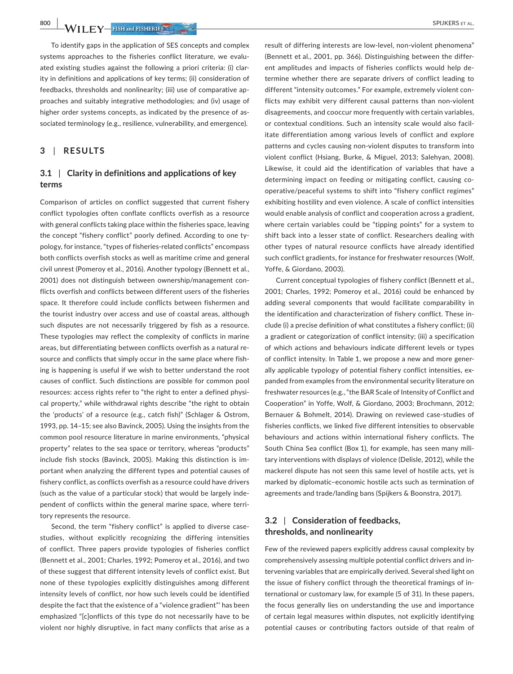**800 WII FY** FISH and FISHERIES **ALL CONSUMERS ET AL.** 

To identify gaps in the application of SES concepts and complex systems approaches to the fisheries conflict literature, we evaluated existing studies against the following a priori criteria: (i) clarity in definitions and applications of key terms; (ii) consideration of feedbacks, thresholds and nonlinearity; (iii) use of comparative approaches and suitably integrative methodologies; and (iv) usage of higher order systems concepts, as indicated by the presence of associated terminology (e.g., resilience, vulnerability, and emergence).

## **3** | **RESULTS**

## **3.1** | **Clarity in definitions and applications of key terms**

Comparison of articles on conflict suggested that current fishery conflict typologies often conflate conflicts overfish as a resource with general conflicts taking place within the fisheries space, leaving the concept "fishery conflict" poorly defined. According to one typology, for instance, "types of fisheries-related conflicts" encompass both conflicts overfish stocks as well as maritime crime and general civil unrest (Pomeroy et al., 2016). Another typology (Bennett et al., 2001) does not distinguish between ownership/management conflicts overfish and conflicts between different users of the fisheries space. It therefore could include conflicts between fishermen and the tourist industry over access and use of coastal areas, although such disputes are not necessarily triggered by fish as a resource. These typologies may reflect the complexity of conflicts in marine areas, but differentiating between conflicts overfish as a natural resource and conflicts that simply occur in the same place where fishing is happening is useful if we wish to better understand the root causes of conflict. Such distinctions are possible for common pool resources: access rights refer to "the right to enter a defined physical property," while withdrawal rights describe "the right to obtain the 'products' of a resource (e.g., catch fish)" (Schlager & Ostrom, 1993, pp. 14–15; see also Bavinck, 2005). Using the insights from the common pool resource literature in marine environments, "physical property" relates to the sea space or territory, whereas "products" include fish stocks (Bavinck, 2005). Making this distinction is important when analyzing the different types and potential causes of fishery conflict, as conflicts overfish as a resource could have drivers (such as the value of a particular stock) that would be largely independent of conflicts within the general marine space, where territory represents the resource.

Second, the term "fishery conflict" is applied to diverse casestudies, without explicitly recognizing the differing intensities of conflict. Three papers provide typologies of fisheries conflict (Bennett et al., 2001; Charles, 1992; Pomeroy et al., 2016), and two of these suggest that different intensity levels of conflict exist. But none of these typologies explicitly distinguishes among different intensity levels of conflict, nor how such levels could be identified despite the fact that the existence of a "violence gradient"' has been emphasized "[c]onflicts of this type do not necessarily have to be violent nor highly disruptive, in fact many conflicts that arise as a

result of differing interests are low-level, non-violent phenomena" (Bennett et al., 2001, pp. 366). Distinguishing between the different amplitudes and impacts of fisheries conflicts would help determine whether there are separate drivers of conflict leading to different "intensity outcomes." For example, extremely violent conflicts may exhibit very different causal patterns than non-violent disagreements, and cooccur more frequently with certain variables, or contextual conditions. Such an intensity scale would also facilitate differentiation among various levels of conflict and explore patterns and cycles causing non-violent disputes to transform into violent conflict (Hsiang, Burke, & Miguel, 2013; Salehyan, 2008). Likewise, it could aid the identification of variables that have a determining impact on feeding or mitigating conflict, causing cooperative/peaceful systems to shift into "fishery conflict regimes" exhibiting hostility and even violence. A scale of conflict intensities would enable analysis of conflict and cooperation across a gradient, where certain variables could be "tipping points" for a system to shift back into a lesser state of conflict. Researchers dealing with other types of natural resource conflicts have already identified such conflict gradients, for instance for freshwater resources (Wolf, Yoffe, & Giordano, 2003).

Current conceptual typologies of fishery conflict (Bennett et al., 2001; Charles, 1992; Pomeroy et al., 2016) could be enhanced by adding several components that would facilitate comparability in the identification and characterization of fishery conflict. These include (i) a precise definition of what constitutes a fishery conflict; (ii) a gradient or categorization of conflict intensity; (iii) a specification of which actions and behaviours indicate different levels or types of conflict intensity. In Table 1, we propose a new and more generally applicable typology of potential fishery conflict intensities, expanded from examples from the environmental security literature on freshwater resources (e.g., "the BAR Scale of Intensity of Conflict and Cooperation" in Yoffe, Wolf, & Giordano, 2003; Brochmann, 2012; Bernauer & Bohmelt, 2014). Drawing on reviewed case-studies of fisheries conflicts, we linked five different intensities to observable behaviours and actions within international fishery conflicts. The South China Sea conflict (Box 1), for example, has seen many military interventions with displays of violence (Delisle, 2012), while the mackerel dispute has not seen this same level of hostile acts, yet is marked by diplomatic–economic hostile acts such as termination of agreements and trade/landing bans (Spijkers & Boonstra, 2017).

## **3.2** | **Consideration of feedbacks, thresholds, and nonlinearity**

Few of the reviewed papers explicitly address causal complexity by comprehensively assessing multiple potential conflict drivers and intervening variables that are empirically derived. Several shed light on the issue of fishery conflict through the theoretical framings of international or customary law, for example (5 of 31). In these papers, the focus generally lies on understanding the use and importance of certain legal measures within disputes, not explicitly identifying potential causes or contributing factors outside of that realm of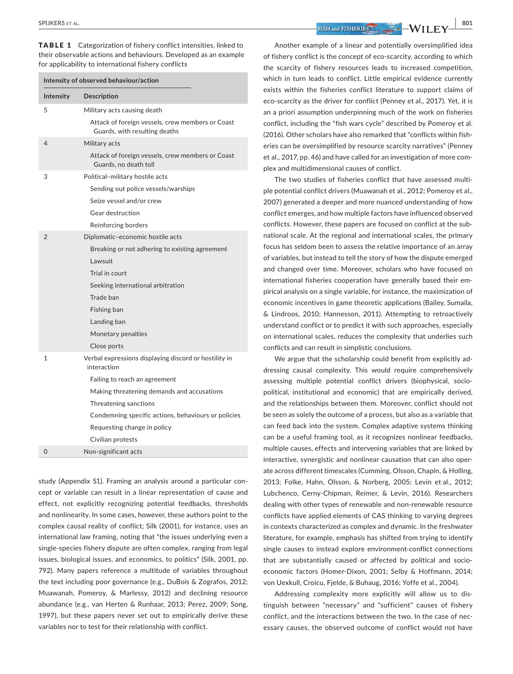TABLE 1 Categorization of fishery conflict intensities, linked to their observable actions and behaviours. Developed as an example for applicability to international fishery conflicts

| Intensity of observed behaviour/action |                                                                                   |
|----------------------------------------|-----------------------------------------------------------------------------------|
| Intensity                              | <b>Description</b>                                                                |
| 5                                      | Military acts causing death                                                       |
|                                        | Attack of foreign vessels, crew members or Coast<br>Guards, with resulting deaths |
| $\overline{4}$                         | Military acts                                                                     |
|                                        | Attack of foreign vessels, crew members or Coast<br>Guards, no death toll         |
| 3                                      | Political-military hostile acts                                                   |
|                                        | Sending out police vessels/warships                                               |
|                                        | Seize vessel and/or crew                                                          |
|                                        | Gear destruction                                                                  |
|                                        | Reinforcing borders                                                               |
| $\overline{2}$                         | Diplomatic-economic hostile acts                                                  |
|                                        | Breaking or not adhering to existing agreement                                    |
|                                        | Lawsuit                                                                           |
|                                        | Trial in court                                                                    |
|                                        | Seeking international arbitration                                                 |
|                                        | Trade ban                                                                         |
|                                        | Fishing ban                                                                       |
|                                        | Landing ban                                                                       |
|                                        | Monetary penalties                                                                |
|                                        | Close ports                                                                       |
| $\mathbf{1}$                           | Verbal expressions displaying discord or hostility in<br>interaction              |
|                                        | Failing to reach an agreement                                                     |
|                                        | Making threatening demands and accusations                                        |
|                                        | Threatening sanctions                                                             |
|                                        | Condemning specific actions, behaviours or policies                               |
|                                        | Requesting change in policy                                                       |
|                                        | Civilian protests                                                                 |
| 0                                      | Non-significant acts                                                              |
|                                        |                                                                                   |

study (Appendix S1). Framing an analysis around a particular concept or variable can result in a linear representation of cause and effect, not explicitly recognizing potential feedbacks, thresholds and nonlinearity. In some cases, however, these authors point to the complex causal reality of conflict; Silk (2001), for instance, uses an international law framing, noting that "the issues underlying even a single-species fishery dispute are often complex, ranging from legal issues, biological issues, and economics, to politics" (Silk, 2001, pp. 792). Many papers reference a multitude of variables throughout the text including poor governance (e.g., DuBois & Zografos, 2012; Muawanah, Pomeroy, & Marlessy, 2012) and declining resource abundance (e.g., van Herten & Runhaar, 2013; Perez, 2009; Song, 1997), but these papers never set out to empirically derive these variables nor to test for their relationship with conflict.

Another example of a linear and potentially oversimplified idea of fishery conflict is the concept of eco-scarcity, according to which the scarcity of fishery resources leads to increased competition, which in turn leads to conflict. Little empirical evidence currently exists within the fisheries conflict literature to support claims of eco-scarcity as the driver for conflict (Penney et al., 2017). Yet, it is an a priori assumption underpinning much of the work on fisheries conflict, including the "fish wars cycle" described by Pomeroy et al. (2016). Other scholars have also remarked that "conflicts within fisheries can be oversimplified by resource scarcity narratives" (Penney et al., 2017, pp. 46) and have called for an investigation of more complex and multidimensional causes of conflict.

The two studies of fisheries conflict that have assessed multiple potential conflict drivers (Muawanah et al., 2012; Pomeroy et al., 2007) generated a deeper and more nuanced understanding of how conflict emerges, and how multiple factors have influenced observed conflicts. However, these papers are focused on conflict at the subnational scale. At the regional and international scales, the primary focus has seldom been to assess the relative importance of an array of variables, but instead to tell the story of how the dispute emerged and changed over time. Moreover, scholars who have focused on international fisheries cooperation have generally based their empirical analysis on a single variable, for instance, the maximization of economic incentives in game theoretic applications (Bailey, Sumaila, & Lindroos, 2010; Hannesson, 2011). Attempting to retroactively understand conflict or to predict it with such approaches, especially on international scales, reduces the complexity that underlies such conflicts and can result in simplistic conclusions.

We argue that the scholarship could benefit from explicitly addressing causal complexity. This would require comprehensively assessing multiple potential conflict drivers (biophysical, sociopolitical, institutional and economic) that are empirically derived, and the relationships between them. Moreover, conflict should not be seen as solely the outcome of a process, but also as a variable that can feed back into the system. Complex adaptive systems thinking can be a useful framing tool, as it recognizes nonlinear feedbacks, multiple causes, effects and intervening variables that are linked by interactive, synergistic and nonlinear causation that can also operate across different timescales (Cumming, Olsson, Chapin, & Holling, 2013; Folke, Hahn, Olsson, & Norberg, 2005; Levin et al., 2012; Lubchenco, Cerny-Chipman, Reimer, & Levin, 2016). Researchers dealing with other types of renewable and non-renewable resource conflicts have applied elements of CAS thinking to varying degrees in contexts characterized as complex and dynamic. In the freshwater literature, for example, emphasis has shifted from trying to identify single causes to instead explore environment-conflict connections that are substantially caused or affected by political and socioeconomic factors (Homer-Dixon, 2001; Selby & Hoffmann, 2014; von Uexkull, Croicu, Fjelde, & Buhaug, 2016; Yoffe et al., 2004).

Addressing complexity more explicitly will allow us to distinguish between "necessary" and "sufficient" causes of fishery conflict, and the interactions between the two. In the case of necessary causes, the observed outcome of conflict would not have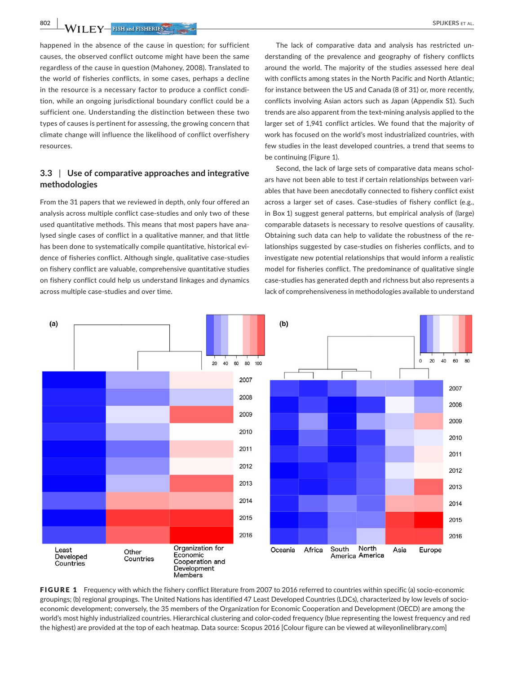**802 WII FY** FISH and FISHERIES **ALL CONSUMERS ET AL.** 

happened in the absence of the cause in question; for sufficient causes, the observed conflict outcome might have been the same regardless of the cause in question (Mahoney, 2008). Translated to the world of fisheries conflicts, in some cases, perhaps a decline in the resource is a necessary factor to produce a conflict condition, while an ongoing jurisdictional boundary conflict could be a sufficient one. Understanding the distinction between these two types of causes is pertinent for assessing, the growing concern that climate change will influence the likelihood of conflict overfishery resources.

## **3.3** | **Use of comparative approaches and integrative methodologies**

From the 31 papers that we reviewed in depth, only four offered an analysis across multiple conflict case-studies and only two of these used quantitative methods. This means that most papers have analysed single cases of conflict in a qualitative manner, and that little has been done to systematically compile quantitative, historical evidence of fisheries conflict. Although single, qualitative case-studies on fishery conflict are valuable, comprehensive quantitative studies on fishery conflict could help us understand linkages and dynamics across multiple case-studies and over time.

The lack of comparative data and analysis has restricted understanding of the prevalence and geography of fishery conflicts around the world. The majority of the studies assessed here deal with conflicts among states in the North Pacific and North Atlantic; for instance between the US and Canada (8 of 31) or, more recently, conflicts involving Asian actors such as Japan (Appendix S1). Such trends are also apparent from the text-mining analysis applied to the larger set of 1,941 conflict articles. We found that the majority of work has focused on the world's most industrialized countries, with few studies in the least developed countries, a trend that seems to be continuing (Figure 1).

Second, the lack of large sets of comparative data means scholars have not been able to test if certain relationships between variables that have been anecdotally connected to fishery conflict exist across a larger set of cases. Case-studies of fishery conflict (e.g., in Box 1) suggest general patterns, but empirical analysis of (large) comparable datasets is necessary to resolve questions of causality. Obtaining such data can help to validate the robustness of the relationships suggested by case-studies on fisheries conflicts, and to investigate new potential relationships that would inform a realistic model for fisheries conflict. The predominance of qualitative single case-studies has generated depth and richness but also represents a lack of comprehensiveness in methodologies available to understand



FIGURE 1 Frequency with which the fishery conflict literature from 2007 to 2016 referred to countries within specific (a) socio-economic groupings; (b) regional groupings. The United Nations has identified 47 Least Developed Countries (LDCs), characterized by low levels of socioeconomic development; conversely, the 35 members of the Organization for Economic Cooperation and Development (OECD) are among the world's most highly industrialized countries. Hierarchical clustering and color-coded frequency (blue representing the lowest frequency and red the highest) are provided at the top of each heatmap. Data source: Scopus 2016 [Colour figure can be viewed at [wileyonlinelibrary.com\]](www.wileyonlinelibrary.com)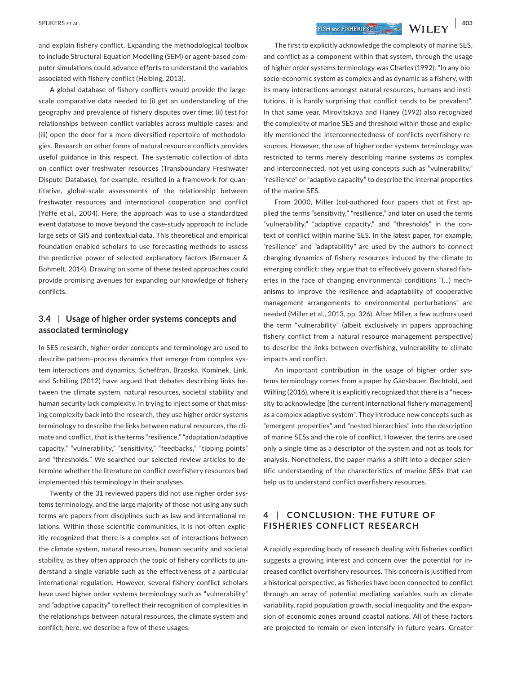and explain fishery conflict. Expanding the methodological toolbox to include Structural Equation Modelling (SEM) or agent-based computer simulations could advance efforts to understand the variables associated with fishery conflict (Helbing, 2013).

A global database of fishery conflicts would provide the largescale comparative data needed to (i) get an understanding of the geography and prevalence of fishery disputes over time; (ii) test for relationships between conflict variables across multiple cases; and (iii) open the door for a more diversified repertoire of methodologies. Research on other forms of natural resource conflicts provides useful guidance in this respect. The systematic collection of data on conflict over freshwater resources (Transboundary Freshwater Dispute Database), for example, resulted in a framework for quantitative, global-scale assessments of the relationship between freshwater resources and international cooperation and conflict (Yoffe et al., 2004). Here, the approach was to use a standardized event database to move beyond the case-study approach to include large sets of GIS and contextual data. This theoretical and empirical foundation enabled scholars to use forecasting methods to assess the predictive power of selected explanatory factors (Bernauer & Bohmelt, 2014). Drawing on some of these tested approaches could provide promising avenues for expanding our knowledge of fishery conflicts.

## **3.4** | **Usage of higher order systems concepts and associated terminology**

In SES research, higher order concepts and terminology are used to describe pattern–process dynamics that emerge from complex system interactions and dynamics. Scheffran, Brzoska, Kominek, Link, and Schilling (2012) have argued that debates describing links between the climate system, natural resources, societal stability and human security lack complexity. In trying to inject some of that missing complexity back into the research, they use higher order systems terminology to describe the links between natural resources, the climate and conflict, that is the terms "resilience," "adaptation/adaptive capacity," "vulnerability," "sensitivity," "feedbacks," "tipping points" and "thresholds." We searched our selected review articles to determine whether the literature on conflict overfishery resources had implemented this terminology in their analyses.

Twenty of the 31 reviewed papers did not use higher order systems terminology, and the large majority of those not using any such terms are papers from disciplines such as law and international relations. Within those scientific communities, it is not often explicitly recognized that there is a complex set of interactions between the climate system, natural resources, human security and societal stability, as they often approach the topic of fishery conflicts to understand a single variable such as the effectiveness of a particular international regulation. However, several fishery conflict scholars have used higher order systems terminology such as "vulnerability" and "adaptive capacity" to reflect their recognition of complexities in the relationships between natural resources, the climate system and conflict; here, we describe a few of these usages.

The first to explicitly acknowledge the complexity of marine SES, and conflict as a component within that system, through the usage of higher order systems terminology was Charles (1992): "In any biosocio-economic system as complex and as dynamic as a fishery, with its many interactions amongst natural resources, humans and institutions, it is hardly surprising that conflict tends to be prevalent". In that same year, Mirovitskaya and Haney (1992) also recognized the complexity of marine SES and threshold within those and explicitly mentioned the interconnectedness of conflicts overfishery resources. However, the use of higher order systems terminology was restricted to terms merely describing marine systems as complex and interconnected, not yet using concepts such as "vulnerability," "resilience" or "adaptive capacity" to describe the internal properties of the marine SES.

From 2000, Miller (co)-authored four papers that at first applied the terms "sensitivity," "resilience," and later on used the terms "vulnerability," "adaptive capacity," and "thresholds" in the context of conflict within marine SES. In the latest paper, for example, "resilience" and "adaptability" are used by the authors to connect changing dynamics of fishery resources induced by the climate to emerging conflict: they argue that to effectively govern shared fisheries in the face of changing environmental conditions "(…) mechanisms to improve the resilience and adaptability of cooperative management arrangements to environmental perturbations" are needed (Miller et al., 2013, pp. 326). After Miller, a few authors used the term "vulnerability" (albeit exclusively in papers approaching fishery conflict from a natural resource management perspective) to describe the links between overfishing, vulnerability to climate impacts and conflict.

An important contribution in the usage of higher order systems terminology comes from a paper by Gänsbauer, Bechtold, and Wilfing (2016), where it is explicitly recognized that there is a "necessity to acknowledge [the current international fishery management] as a complex adaptive system". They introduce new concepts such as "emergent properties" and "nested hierarchies" into the description of marine SESs and the role of conflict. However, the terms are used only a single time as a descriptor of the system and not as tools for analysis. Nonetheless, the paper marks a shift into a deeper scientific understanding of the characteristics of marine SESs that can help us to understand conflict overfishery resources.

## **4** | **CONCLUSION: THE FUTURE OF FISHERIES CONFLICT RESEARCH**

A rapidly expanding body of research dealing with fisheries conflict suggests a growing interest and concern over the potential for increased conflict overfishery resources. This concern is justified from a historical perspective, as fisheries have been connected to conflict through an array of potential mediating variables such as climate variability, rapid population growth, social inequality and the expansion of economic zones around coastal nations. All of these factors are projected to remain or even intensify in future years. Greater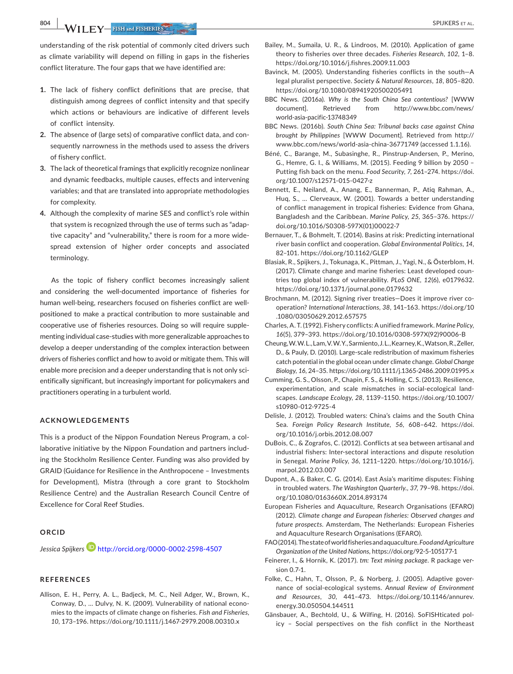**804 WII FY** FISH and FISHERIES **The SECOND CONSTRUCTS** CONSIDERS ET AL.

understanding of the risk potential of commonly cited drivers such as climate variability will depend on filling in gaps in the fisheries conflict literature. The four gaps that we have identified are:

- **1.** The lack of fishery conflict definitions that are precise, that distinguish among degrees of conflict intensity and that specify which actions or behaviours are indicative of different levels of conflict intensity.
- **2.** The absence of (large sets) of comparative conflict data, and consequently narrowness in the methods used to assess the drivers of fishery conflict.
- **3.** The lack of theoretical framings that explicitly recognize nonlinear and dynamic feedbacks, multiple causes, effects and intervening variables; and that are translated into appropriate methodologies for complexity.
- **4.** Although the complexity of marine SES and conflict's role within that system is recognized through the use of terms such as "adaptive capacity" and "vulnerability," there is room for a more widespread extension of higher order concepts and associated terminology.

As the topic of fishery conflict becomes increasingly salient and considering the well-documented importance of fisheries for human well-being, researchers focused on fisheries conflict are wellpositioned to make a practical contribution to more sustainable and cooperative use of fisheries resources. Doing so will require supplementing individual case-studies with more generalizable approaches to develop a deeper understanding of the complex interaction between drivers of fisheries conflict and how to avoid or mitigate them. This will enable more precision and a deeper understanding that is not only scientifically significant, but increasingly important for policymakers and practitioners operating in a turbulent world.

#### **ACKNOWLEDGEMENTS**

This is a product of the Nippon Foundation Nereus Program, a collaborative initiative by the Nippon Foundation and partners including the Stockholm Resilience Center. Funding was also provided by GRAID (Guidance for Resilience in the Anthropocene – Investments for Development), Mistra (through a core grant to Stockholm Resilience Centre) and the Australian Research Council Centre of Excellence for Coral Reef Studies.

#### **ORCID**

*Jessica Spijker[s](http://orcid.org/0000-0002-2598-4507)* <http://orcid.org/0000-0002-2598-4507>

#### **REFERENCES**

Allison, E. H., Perry, A. L., Badjeck, M. C., Neil Adger, W., Brown, K., Conway, D., … Dulvy, N. K. (2009). Vulnerability of national economies to the impacts of climate change on fisheries. *Fish and Fisheries*, *10*, 173–196. <https://doi.org/10.1111/j.1467-2979.2008.00310.x>

- Bailey, M., Sumaila, U. R., & Lindroos, M. (2010). Application of game theory to fisheries over three decades. *Fisheries Research*, *102*, 1–8. <https://doi.org/10.1016/j.fishres.2009.11.003>
- Bavinck, M. (2005). Understanding fisheries conflicts in the south—A legal pluralist perspective. *Society & Natural Resources*, *18*, 805–820. <https://doi.org/10.1080/08941920500205491>
- BBC News. (2016a). *Why is the South China Sea contentious?* [WWW document]. Retrieved from [http://www.bbc.com/news/](http://www.bbc.com/news/world-asia-pacific-13748349) [world-asia-pacific-13748349](http://www.bbc.com/news/world-asia-pacific-13748349)
- BBC News. (2016b). *South China Sea: Tribunal backs case against China brought by Philippines* [WWW Document]. Retrieved from [http://](http://www.bbc.com/news/world-asia-china-36771749) [www.bbc.com/news/world-asia-china-36771749](http://www.bbc.com/news/world-asia-china-36771749) (accessed 1.1.16).
- Béné, C., Barange, M., Subasinghe, R., Pinstrup-Andersen, P., Merino, G., Hemre, G. I., & Williams, M. (2015). Feeding 9 billion by 2050 – Putting fish back on the menu. *Food Security*, *7*, 261–274. [https://doi.](https://doi.org/10.1007/s12571-015-0427-z) [org/10.1007/s12571-015-0427-z](https://doi.org/10.1007/s12571-015-0427-z)
- Bennett, E., Neiland, A., Anang, E., Bannerman, P., Atiq Rahman, A., Huq, S., … Clerveaux, W. (2001). Towards a better understanding of conflict management in tropical fisheries: Evidence from Ghana, Bangladesh and the Caribbean. *Marine Policy*, *25*, 365–376. [https://](https://doi.org/10.1016/S0308-597X(01)00022-7) [doi.org/10.1016/S0308-597X\(01\)00022-7](https://doi.org/10.1016/S0308-597X(01)00022-7)
- Bernauer, T., & Bohmelt, T. (2014). Basins at risk: Predicting international river basin conflict and cooperation. *Global Environmental Politics*, *14*, 82–101.<https://doi.org/10.1162/GLEP>
- Blasiak, R., Spijkers, J., Tokunaga, K., Pittman, J., Yagi, N., & Österblom, H. (2017). Climate change and marine fisheries: Least developed countries top global index of vulnerability. *PLoS ONE*, *12*(6), e0179632. <https://doi.org/10.1371/journal.pone.0179632>
- Brochmann, M. (2012). Signing river treaties—Does it improve river cooperation? *International Interactions*, *38*, 141–163. [https://doi.org/10](https://doi.org/10.1080/03050629.2012.657575) [.1080/03050629.2012.657575](https://doi.org/10.1080/03050629.2012.657575)
- Charles, A. T. (1992). Fishery conflicts: A unified framework. *Marine Policy*, *16*(5), 379–393. [https://doi.org/10.1016/0308-597X\(92\)90006-B](https://doi.org/10.1016/0308-597X(92)90006-B)
- Cheung, W. W. L., Lam, V. W. Y., Sarmiento, J. L., Kearney, K., Watson, R., Zeller, D., & Pauly, D. (2010). Large-scale redistribution of maximum fisheries catch potential in the global ocean under climate change. *Global Change Biology*, *16*, 24–35.<https://doi.org/10.1111/j.1365-2486.2009.01995.x>
- Cumming, G. S., Olsson, P., Chapin, F. S., & Holling, C. S. (2013). Resilience, experimentation, and scale mismatches in social-ecological landscapes. *Landscape Ecology*, *28*, 1139–1150. [https://doi.org/10.1007/](https://doi.org/10.1007/s10980-012-9725-4) [s10980-012-9725-4](https://doi.org/10.1007/s10980-012-9725-4)
- Delisle, J. (2012). Troubled waters: China's claims and the South China Sea. *Foreign Policy Research Institute*, *56*, 608–642. [https://doi.](https://doi.org/10.1016/j.orbis.2012.08.007) [org/10.1016/j.orbis.2012.08.007](https://doi.org/10.1016/j.orbis.2012.08.007)
- DuBois, C., & Zografos, C. (2012). Conflicts at sea between artisanal and industrial fishers: Inter-sectoral interactions and dispute resolution in Senegal. *Marine Policy*, *36*, 1211–1220. [https://doi.org/10.1016/j.](https://doi.org/10.1016/j.marpol.2012.03.007) [marpol.2012.03.007](https://doi.org/10.1016/j.marpol.2012.03.007)
- Dupont, A., & Baker, C. G. (2014). East Asia's maritime disputes: Fishing in troubled waters. *The Washington Quarterly.*, *37*, 79–98. [https://doi.](https://doi.org/10.1080/0163660X.2014.893174) [org/10.1080/0163660X.2014.893174](https://doi.org/10.1080/0163660X.2014.893174)
- European Fisheries and Aquaculture, Research Organisations (EFARO) (2012). *Climate change and European fisheries: Observed changes and future prospects*. Amsterdam, The Netherlands: European Fisheries and Aquaculture Research Organisations (EFARO).
- FAO (2014). The state of world fisheries and aquaculture. *Food and Agriculture Organization of the United Nations*,<https://doi.org/92-5-105177-1>
- Feinerer, I., & Hornik, K. (2017). *tm: Text mining package*. R package version 0.7-1.
- Folke, C., Hahn, T., Olsson, P., & Norberg, J. (2005). Adaptive governance of social-ecological systems. *Annual Review of Environment and Resources*, *30*, 441–473. [https://doi.org/10.1146/annurev.](https://doi.org/10.1146/annurev.energy.30.050504.144511) [energy.30.050504.144511](https://doi.org/10.1146/annurev.energy.30.050504.144511)
- Gänsbauer, A., Bechtold, U., & Wilfing, H. (2016). SoFISHticated policy – Social perspectives on the fish conflict in the Northeast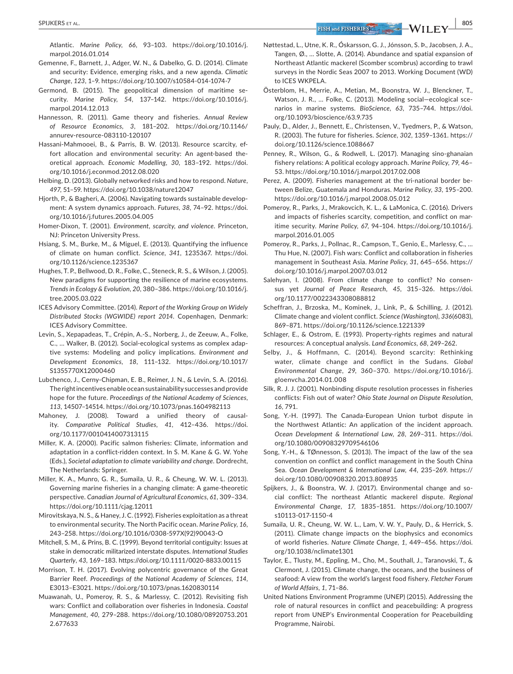Atlantic. *Marine Policy*, *66*, 93–103. [https://doi.org/10.1016/j.](https://doi.org/10.1016/j.marpol.2016.01.014) [marpol.2016.01.014](https://doi.org/10.1016/j.marpol.2016.01.014)

- Gemenne, F., Barnett, J., Adger, W. N., & Dabelko, G. D. (2014). Climate and security: Evidence, emerging risks, and a new agenda. *Climatic Change*, *123*, 1–9. <https://doi.org/10.1007/s10584-014-1074-7>
- Germond, B. (2015). The geopolitical dimension of maritime security. *Marine Policy*, *54*, 137–142. [https://doi.org/10.1016/j.](https://doi.org/10.1016/j.marpol.2014.12.013) [marpol.2014.12.013](https://doi.org/10.1016/j.marpol.2014.12.013)
- Hannesson, R. (2011). Game theory and fisheries. *Annual Review of Resource Economics*, *3*, 181–202. [https://doi.org/10.1146/](https://doi.org/10.1146/annurev-resource-083110-120107) [annurev-resource-083110-120107](https://doi.org/10.1146/annurev-resource-083110-120107)
- Hassani-Mahmooei, B., & Parris, B. W. (2013). Resource scarcity, effort allocation and environmental security: An agent-based theoretical approach. *Economic Modelling*, *30*, 183–192. [https://doi.](https://doi.org/10.1016/j.econmod.2012.08.020) [org/10.1016/j.econmod.2012.08.020](https://doi.org/10.1016/j.econmod.2012.08.020)
- Helbing, D. (2013). Globally networked risks and how to respond. *Nature*, *497*, 51–59.<https://doi.org/10.1038/nature12047>
- Hjorth, P., & Bagheri, A. (2006). Navigating towards sustainable development: A system dynamics approach. *Futures*, *38*, 74–92. [https://doi.](https://doi.org/10.1016/j.futures.2005.04.005) [org/10.1016/j.futures.2005.04.005](https://doi.org/10.1016/j.futures.2005.04.005)
- Homer-Dixon, T. (2001). *Environment, scarcity, and violence*. Princeton, NJ: Princeton University Press.
- Hsiang, S. M., Burke, M., & Miguel, E. (2013). Quantifying the influence of climate on human conflict. *Science*, *341*, 1235367. [https://doi.](https://doi.org/10.1126/science.1235367) [org/10.1126/science.1235367](https://doi.org/10.1126/science.1235367)
- Hughes, T. P., Bellwood, D. R., Folke, C., Steneck, R. S., & Wilson, J. (2005). New paradigms for supporting the resilience of marine ecosystems. *Trends in Ecology & Evolution*, *20*, 380–386. [https://doi.org/10.1016/j.](https://doi.org/10.1016/j.tree.2005.03.022) [tree.2005.03.022](https://doi.org/10.1016/j.tree.2005.03.022)
- ICES Advisory Committee. (2014). *Report of the Working Group on Widely Distributed Stocks (WGWIDE) report 2014*. Copenhagen, Denmark: ICES Advisory Committee.
- Levin, S., Xepapadeas, T., Crépin, A.-S., Norberg, J., de Zeeuw, A., Folke, C., … Walker, B. (2012). Social-ecological systems as complex adaptive systems: Modeling and policy implications. *Environment and Development Economics*, *18*, 111–132. [https://doi.org/10.1017/](https://doi.org/10.1017/S1355770X12000460) [S1355770X12000460](https://doi.org/10.1017/S1355770X12000460)
- Lubchenco, J., Cerny-Chipman, E. B., Reimer, J. N., & Levin, S. A. (2016). The right incentives enable ocean sustainability successes and provide hope for the future. *Proceedings of the National Academy of Sciences*, *113*, 14507–14514.<https://doi.org/10.1073/pnas.1604982113>
- Mahoney, J. (2008). Toward a unified theory of causality. *Comparative Political Studies*, *41*, 412–436. [https://doi.](https://doi.org/10.1177/0010414007313115) [org/10.1177/0010414007313115](https://doi.org/10.1177/0010414007313115)
- Miller, K. A. (2000). Pacific salmon fisheries: Climate, information and adaptation in a conflict-ridden context. In S. M. Kane & G. W. Yohe (Eds.), *Societal adaptation to climate variability and change*. Dordrecht, The Netherlands: Springer.
- Miller, K. A., Munro, G. R., Sumaila, U. R., & Cheung, W. W. L. (2013). Governing marine fisheries in a changing climate: A game-theoretic perspective. *Canadian Journal of Agricultural Economics*, *61*, 309–334. <https://doi.org/10.1111/cjag.12011>
- Mirovitskaya, N. S., & Haney, J. C. (1992). Fisheries exploitation as a threat to environmental security. The North Pacific ocean. *Marine Policy*, *16*, 243–258. [https://doi.org/10.1016/0308-597X\(92\)90043-O](https://doi.org/10.1016/0308-597X(92)90043-O)
- Mitchell, S. M., & Prins, B. C. (1999). Beyond territorial contiguity: Issues at stake in democratic militarized interstate disputes. *International Studies Quarterly*, *43*, 169–183. <https://doi.org/10.1111/0020-8833.00115>
- Morrison, T. H. (2017). Evolving polycentric governance of the Great Barrier Reef. *Proceedings of the National Academy of Sciences*, *114*, E3013–E3021.<https://doi.org/10.1073/pnas.1620830114>
- Muawanah, U., Pomeroy, R. S., & Marlessy, C. (2012). Revisiting fish wars: Conflict and collaboration over fisheries in Indonesia. *Coastal Management*, *40*, 279–288. [https://doi.org/10.1080/08920753.201](https://doi.org/10.1080/08920753.2012.677633) [2.677633](https://doi.org/10.1080/08920753.2012.677633)
- Nøttestad, L., Utne, K. R., Óskarsson, G. J., Jónsson, S. Þ., Jacobsen, J. A., Tangen, Ø., … Slotte, A. (2014). Abundance and spatial expansion of Northeast Atlantic mackerel (Scomber scombrus) according to trawl surveys in the Nordic Seas 2007 to 2013. Working Document (WD) to ICES WKPELA.
- Österblom, H., Merrie, A., Metian, M., Boonstra, W. J., Blenckner, T., Watson, J. R., … Folke, C. (2013). Modeling social—ecological scenarios in marine systems. *BioScience*, *63*, 735–744. [https://doi.](https://doi.org/10.1093/bioscience/63.9.735) [org/10.1093/bioscience/63.9.735](https://doi.org/10.1093/bioscience/63.9.735)
- Pauly, D., Alder, J., Bennett, E., Christensen, V., Tyedmers, P., & Watson, R. (2003). The future for fisheries. *Science*, *302*, 1359–1361. [https://](https://doi.org/10.1126/science.1088667) [doi.org/10.1126/science.1088667](https://doi.org/10.1126/science.1088667)
- Penney, R., Wilson, G., & Rodwell, L. (2017). Managing sino-ghanaian fishery relations: A political ecology approach. *Marine Policy*, *79*, 46– 53.<https://doi.org/10.1016/j.marpol.2017.02.008>
- Perez, A. (2009). Fisheries management at the tri-national border between Belize, Guatemala and Honduras. *Marine Policy*, *33*, 195–200. <https://doi.org/10.1016/j.marpol.2008.05.012>
- Pomeroy, R., Parks, J., Mrakovcich, K. L., & LaMonica, C. (2016). Drivers and impacts of fisheries scarcity, competition, and conflict on maritime security. *Marine Policy*, *67*, 94–104. [https://doi.org/10.1016/j.](https://doi.org/10.1016/j.marpol.2016.01.005) [marpol.2016.01.005](https://doi.org/10.1016/j.marpol.2016.01.005)
- Pomeroy, R., Parks, J., Pollnac, R., Campson, T., Genio, E., Marlessy, C., … Thu Hue, N. (2007). Fish wars: Conflict and collaboration in fisheries management in Southeast Asia. *Marine Policy*, *31*, 645–656. [https://](https://doi.org/10.1016/j.marpol.2007.03.012) [doi.org/10.1016/j.marpol.2007.03.012](https://doi.org/10.1016/j.marpol.2007.03.012)
- Salehyan, I. (2008). From climate change to conflict? No consensus yet *Journal of Peace Research*, *45*, 315–326. [https://doi.](https://doi.org/10.1177/0022343308088812) [org/10.1177/0022343308088812](https://doi.org/10.1177/0022343308088812)
- Scheffran, J., Brzoska, M., Kominek, J., Link, P., & Schilling, J. (2012). Climate change and violent conflict. *Science (Washington)*, *336*(6083), 869–871. <https://doi.org/10.1126/science.1221339>
- Schlager, E., & Ostrom, E. (1993). Property-rights regimes and natural resources: A conceptual analysis. *Land Economics*, *68*, 249–262.
- Selby, J., & Hoffmann, C. (2014). Beyond scarcity: Rethinking water, climate change and conflict in the Sudans. *Global Environmental Change*, *29*, 360–370. [https://doi.org/10.1016/j.](https://doi.org/10.1016/j.gloenvcha.2014.01.008) [gloenvcha.2014.01.008](https://doi.org/10.1016/j.gloenvcha.2014.01.008)
- Silk, R. J. J. (2001). Nonbinding dispute resolution processes in fisheries conflicts: Fish out of water? *Ohio State Journal on Dispute Resolution*, *16*, 791.
- Song, Y.-H. (1997). The Canada-European Union turbot dispute in the Northwest Atlantic: An application of the incident approach. *Ocean Development & International Law*, *28*, 269–311. [https://doi.](https://doi.org/10.1080/00908329709546106) [org/10.1080/00908329709546106](https://doi.org/10.1080/00908329709546106)
- Song, Y.-H., & TØnnesson, S. (2013). The impact of the law of the sea convention on conflict and conflict management in the South China Sea. *Ocean Development & International Law*, *44*, 235–269. [https://](https://doi.org/10.1080/00908320.2013.808935) [doi.org/10.1080/00908320.2013.808935](https://doi.org/10.1080/00908320.2013.808935)
- Spijkers, J., & Boonstra, W. J. (2017). Environmental change and social conflict: The northeast Atlantic mackerel dispute. *Regional Environmental Change*, *17*, 1835–1851. [https://doi.org/10.1007/](https://doi.org/10.1007/s10113-017-1150-4) [s10113-017-1150-4](https://doi.org/10.1007/s10113-017-1150-4)
- Sumaila, U. R., Cheung, W. W. L., Lam, V. W. Y., Pauly, D., & Herrick, S. (2011). Climate change impacts on the biophysics and economics of world fisheries. *Nature Climate Change*, *1*, 449–456. [https://doi.](https://doi.org/10.1038/nclimate1301) [org/10.1038/nclimate1301](https://doi.org/10.1038/nclimate1301)
- Taylor, E., Tlusty, M., Eppling, M., Cho, M., Southall, J., Taranovski, T., & Clermont, J. (2015). Climate change, the oceans, and the business of seafood: A view from the world's largest food fishery. *Fletcher Forum of World Affairs*, *1*, 71–86.
- United Nations Environment Programme (UNEP) (2015). Addressing the role of natural resources in conflict and peacebuilding: A progress report from UNEP's Environmental Cooperation for Peacebuilding Programme, Nairobi.